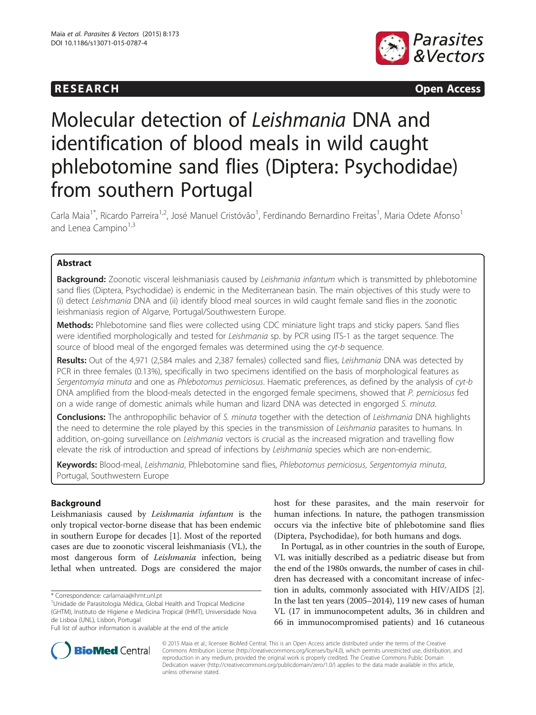

**RESEARCH RESEARCH CONSUMING ACCESS** 

# Molecular detection of Leishmania DNA and identification of blood meals in wild caught phlebotomine sand flies (Diptera: Psychodidae) from southern Portugal

Carla Maia<sup>1\*</sup>, Ricardo Parreira<sup>1,2</sup>, José Manuel Cristóvão<sup>1</sup>, Ferdinando Bernardino Freitas<sup>1</sup>, Maria Odete Afonso<sup>1</sup> and Lenea Campino<sup>1,3</sup>

# Abstract

Background: Zoonotic visceral leishmaniasis caused by Leishmania infantum which is transmitted by phlebotomine sand flies (Diptera, Psychodidae) is endemic in the Mediterranean basin. The main objectives of this study were to (i) detect Leishmania DNA and (ii) identify blood meal sources in wild caught female sand flies in the zoonotic leishmaniasis region of Algarve, Portugal/Southwestern Europe.

Methods: Phlebotomine sand flies were collected using CDC miniature light traps and sticky papers. Sand flies were identified morphologically and tested for Leishmania sp. by PCR using ITS-1 as the target sequence. The source of blood meal of the engorged females was determined using the cyt-b sequence.

Results: Out of the 4,971 (2,584 males and 2,387 females) collected sand flies, Leishmania DNA was detected by PCR in three females (0.13%), specifically in two specimens identified on the basis of morphological features as Sergentomyia minuta and one as Phlebotomus perniciosus. Haematic preferences, as defined by the analysis of cyt-b DNA amplified from the blood-meals detected in the engorged female specimens, showed that P. perniciosus fed on a wide range of domestic animals while human and lizard DNA was detected in engorged S. minuta.

**Conclusions:** The anthropophilic behavior of S. minuta together with the detection of Leishmania DNA highlights the need to determine the role played by this species in the transmission of Leishmania parasites to humans. In addition, on-going surveillance on Leishmania vectors is crucial as the increased migration and travelling flow elevate the risk of introduction and spread of infections by Leishmania species which are non-endemic.

Keywords: Blood-meal, Leishmania, Phlebotomine sand flies, Phlebotomus perniciosus, Sergentomyia minuta, Portugal, Southwestern Europe

# Background

Leishmaniasis caused by Leishmania infantum is the only tropical vector-borne disease that has been endemic in southern Europe for decades [[1](#page-9-0)]. Most of the reported cases are due to zoonotic visceral leishmaniasis (VL), the most dangerous form of Leishmania infection, being lethal when untreated. Dogs are considered the major

\* Correspondence: [carlamaia@ihmt.unl.pt](mailto:carlamaia@ihmt.unl.pt) <sup>1</sup>

host for these parasites, and the main reservoir for human infections. In nature, the pathogen transmission occurs via the infective bite of phlebotomine sand flies (Diptera, Psychodidae), for both humans and dogs.

In Portugal, as in other countries in the south of Europe, VL was initially described as a pediatric disease but from the end of the 1980s onwards, the number of cases in children has decreased with a concomitant increase of infection in adults, commonly associated with HIV/AIDS [[2](#page-9-0)]. In the last ten years (2005–2014), 119 new cases of human VL (17 in immunocompetent adults, 36 in children and 66 in immunocompromised patients) and 16 cutaneous



© 2015 Maia et al.; licensee BioMed Central. This is an Open Access article distributed under the terms of the Creative Commons Attribution License [\(http://creativecommons.org/licenses/by/4.0\)](http://creativecommons.org/licenses/by/4.0), which permits unrestricted use, distribution, and reproduction in any medium, provided the original work is properly credited. The Creative Commons Public Domain Dedication waiver [\(http://creativecommons.org/publicdomain/zero/1.0/](http://creativecommons.org/publicdomain/zero/1.0/)) applies to the data made available in this article, unless otherwise stated.

<sup>&</sup>lt;sup>1</sup>Unidade de Parasitologia Médica, Global Health and Tropical Medicine (GHTM), Instituto de Higiene e Medicina Tropical (IHMT), Universidade Nova de Lisboa (UNL), Lisbon, Portugal

Full list of author information is available at the end of the article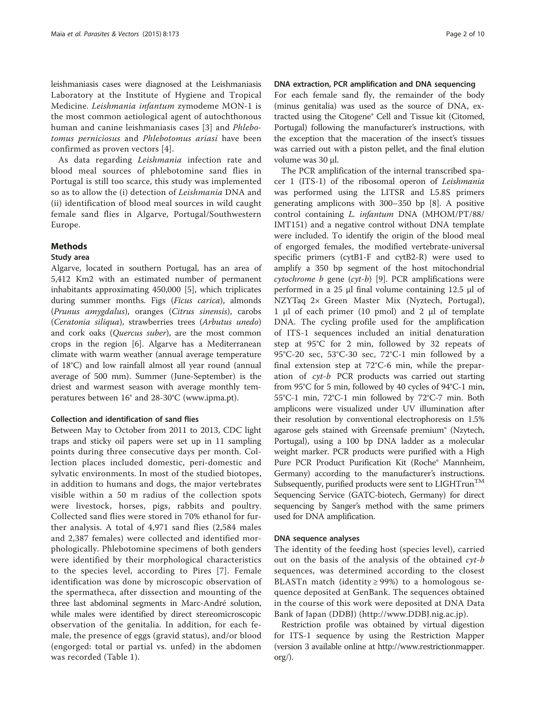leishmaniasis cases were diagnosed at the Leishmaniasis Laboratory at the Institute of Hygiene and Tropical Medicine. Leishmania infantum zymodeme MON-1 is the most common aetiological agent of autochthonous human and canine leishmaniasis cases [[3](#page-9-0)] and Phlebotomus perniciosus and Phlebotomus ariasi have been confirmed as proven vectors [[4\]](#page-9-0).

As data regarding Leishmania infection rate and blood meal sources of phlebotomine sand flies in Portugal is still too scarce, this study was implemented so as to allow the (i) detection of Leishmania DNA and (ii) identification of blood meal sources in wild caught female sand flies in Algarve, Portugal/Southwestern Europe.

# Methods

# Study area

Algarve, located in southern Portugal, has an area of 5,412 Km2 with an estimated number of permanent inhabitants approximating 450,000 [\[5](#page-9-0)], which triplicates during summer months. Figs (Ficus carica), almonds (Prunus amygdalus), oranges (Citrus sinensis), carobs (Ceratonia siliqua), strawberries trees (Arbutus unedo) and cork oaks (Quercus suber), are the most common crops in the region [[6\]](#page-9-0). Algarve has a Mediterranean climate with warm weather (annual average temperature of 18°C) and low rainfall almost all year round (annual average of 500 mm). Summer (June-September) is the driest and warmest season with average monthly temperatures between 16° and 28-30°C (<www.ipma.pt>).

## Collection and identification of sand flies

Between May to October from 2011 to 2013, CDC light traps and sticky oil papers were set up in 11 sampling points during three consecutive days per month. Collection places included domestic, peri-domestic and sylvatic environments. In most of the studied biotopes, in addition to humans and dogs, the major vertebrates visible within a 50 m radius of the collection spots were livestock, horses, pigs, rabbits and poultry. Collected sand flies were stored in 70% ethanol for further analysis. A total of 4,971 sand flies (2,584 males and 2,387 females) were collected and identified morphologically. Phlebotomine specimens of both genders were identified by their morphological characteristics to the species level, according to Pires [[7](#page-9-0)]. Female identification was done by microscopic observation of the spermatheca, after dissection and mounting of the three last abdominal segments in Marc-André solution, while males were identified by direct stereomicroscopic observation of the genitalia. In addition, for each female, the presence of eggs (gravid status), and/or blood (engorged: total or partial vs. unfed) in the abdomen was recorded (Table [1\)](#page-2-0).

### DNA extraction, PCR amplification and DNA sequencing

For each female sand fly, the remainder of the body (minus genitalia) was used as the source of DNA, extracted using the Citogene® Cell and Tissue kit (Citomed, Portugal) following the manufacturer's instructions, with the exception that the maceration of the insect's tissues was carried out with a piston pellet, and the final elution volume was 30 μl.

The PCR amplification of the internal transcribed spacer 1 (ITS-1) of the ribosomal operon of Leishmania was performed using the LITSR and L5.8S primers generating amplicons with 300–350 bp [\[8](#page-9-0)]. A positive control containing L. infantum DNA (MHOM/PT/88/ IMT151) and a negative control without DNA template were included. To identify the origin of the blood meal of engorged females, the modified vertebrate-universal specific primers (cytB1-F and cytB2-R) were used to amplify a 350 bp segment of the host mitochondrial cytochrome  $b$  gene (cyt-b) [[9\]](#page-9-0). PCR amplifications were performed in a 25 μl final volume containing 12.5 μl of NZYTaq 2× Green Master Mix (Nyztech, Portugal), 1 μl of each primer (10 pmol) and 2 μl of template DNA. The cycling profile used for the amplification of ITS-1 sequences included an initial denaturation step at 95°C for 2 min, followed by 32 repeats of 95°C-20 sec, 53°C-30 sec, 72°C-1 min followed by a final extension step at 72°C-6 min, while the preparation of cyt-b PCR products was carried out starting from 95°C for 5 min, followed by 40 cycles of 94°C-1 min, 55°C-1 min, 72°C-1 min followed by 72°C-7 min. Both amplicons were visualized under UV illumination after their resolution by conventional electrophoresis on 1.5% agarose gels stained with Greensafe premium® (Nzytech, Portugal), using a 100 bp DNA ladder as a molecular weight marker. PCR products were purified with a High Pure PCR Product Purification Kit (Roche® Mannheim, Germany) according to the manufacturer's instructions. Subsequently, purified products were sent to LIGHTrun<sup>TM</sup> Sequencing Service (GATC-biotech, Germany) for direct sequencing by Sanger's method with the same primers used for DNA amplification.

#### DNA sequence analyses

The identity of the feeding host (species level), carried out on the basis of the analysis of the obtained  $cyt-b$ sequences, was determined according to the closest BLASTn match (identity  $\geq$  99%) to a homologous sequence deposited at GenBank. The sequences obtained in the course of this work were deposited at DNA Data Bank of Japan (DDBJ) ([http://www.DDBJ.nig.ac.jp](http://www.ddbj.nig.ac.jp)).

Restriction profile was obtained by virtual digestion for ITS-1 sequence by using the Restriction Mapper (version 3 available online at [http://www.restrictionmapper.](http://www.restrictionmapper.org/) [org/](http://www.restrictionmapper.org/)).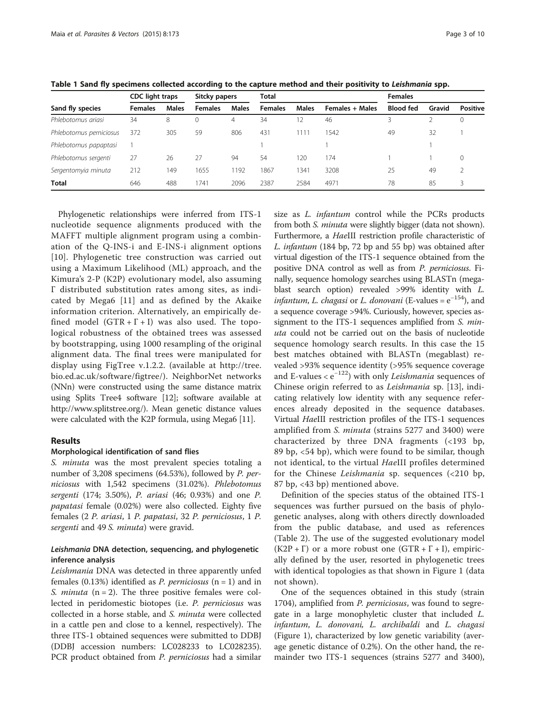|                         | <b>CDC</b> light traps |              | Sitcky papers  |              | Total          |              |                        | <b>Females</b>   |        |                 |  |
|-------------------------|------------------------|--------------|----------------|--------------|----------------|--------------|------------------------|------------------|--------|-----------------|--|
| Sand fly species        | <b>Females</b>         | <b>Males</b> | <b>Females</b> | <b>Males</b> | <b>Females</b> | <b>Males</b> | <b>Females + Males</b> | <b>Blood fed</b> | Gravid | <b>Positive</b> |  |
| Phlebotomus ariasi      | 34                     | 8            | 0              | 4            | 34             |              | 46                     |                  |        | 0               |  |
| Phlebotomus perniciosus | 372                    | 305          | 59             | 806          | 431            | 111          | 1542                   | 49               | 32     |                 |  |
| Phlebotomus papaptasi   |                        |              |                |              |                |              |                        |                  |        |                 |  |
| Phlebotomus sergenti    | 27                     | 26           | 27             | 94           | 54             | 20           | 174                    |                  |        | 0               |  |
| Sergentomyia minuta     | 212                    | 149          | 1655           | 192          | 1867           | 341          | 3208                   | 25               | 49     |                 |  |
| <b>Total</b>            | 646                    | 488          | 1741           | 2096         | 2387           | 2584         | 4971                   | 78               | 85     | 3               |  |

<span id="page-2-0"></span>Table 1 Sand fly specimens collected according to the capture method and their positivity to Leishmania spp.

Phylogenetic relationships were inferred from ITS-1 nucleotide sequence alignments produced with the MAFFT multiple alignment program using a combination of the Q-INS-i and E-INS-i alignment options [[10](#page-9-0)]. Phylogenetic tree construction was carried out using a Maximum Likelihood (ML) approach, and the Kimura's 2-P (K2P) evolutionary model, also assuming Γ distributed substitution rates among sites, as indicated by Mega6 [[11](#page-9-0)] and as defined by the Akaike information criterion. Alternatively, an empirically defined model  $(GTR + \Gamma + I)$  was also used. The topological robustness of the obtained trees was assessed by bootstrapping, using 1000 resampling of the original alignment data. The final trees were manipulated for display using FigTree v.1.2.2. (available at [http://tree.](http://tree.bio.ed.ac.uk/software/figtree/) [bio.ed.ac.uk/software/figtree/\)](http://tree.bio.ed.ac.uk/software/figtree/). NeighborNet networks (NNn) were constructed using the same distance matrix using Splits Tree4 software [\[12\]](#page-9-0); software available at <http://www.splitstree.org/>). Mean genetic distance values were calculated with the K2P formula, using Mega6 [[11\]](#page-9-0).

# Results

### Morphological identification of sand flies

S. *minuta* was the most prevalent species totaling a number of 3,208 specimens (64.53%), followed by P. perniciosus with 1,542 specimens (31.02%). Phlebotomus sergenti (174; 3.50%), P. ariasi (46; 0.93%) and one P. papatasi female (0.02%) were also collected. Eighty five females (2 P. ariasi, 1 P. papatasi, 32 P. perniciosus, 1 P. sergenti and 49 S. minuta) were gravid.

# Leishmania DNA detection, sequencing, and phylogenetic inference analysis

Leishmania DNA was detected in three apparently unfed females (0.13%) identified as *P. perniciosus* ( $n = 1$ ) and in S. *minuta*  $(n = 2)$ . The three positive females were collected in peridomestic biotopes (i.e. P. perniciosus was collected in a horse stable, and S. minuta were collected in a cattle pen and close to a kennel, respectively). The three ITS-1 obtained sequences were submitted to DDBJ (DDBJ accession numbers: LC028233 to LC028235). PCR product obtained from P. perniciosus had a similar

size as *L. infantum* control while the PCRs products from both S. *minuta* were slightly bigger (data not shown). Furthermore, a HaeIII restriction profile characteristic of L. infantum (184 bp, 72 bp and 55 bp) was obtained after virtual digestion of the ITS-1 sequence obtained from the positive DNA control as well as from P. perniciosus. Finally, sequence homology searches using BLASTn (megablast search option) revealed >99% identity with L. *infantum, L. chagasi* or *L. donovani* (E-values =  $e^{-154}$ ), and a sequence coverage >94%. Curiously, however, species assignment to the ITS-1 sequences amplified from S. minuta could not be carried out on the basis of nucleotide sequence homology search results. In this case the 15 best matches obtained with BLASTn (megablast) revealed >93% sequence identity (>95% sequence coverage and E-values  $\langle e^{-122} \rangle$  with only *Leishmania* sequences of Chinese origin referred to as Leishmania sp. [[13\]](#page-9-0), indicating relatively low identity with any sequence references already deposited in the sequence databases. Virtual HaeIII restriction profiles of the ITS-1 sequences amplified from S. minuta (strains 5277 and 3400) were characterized by three DNA fragments (<193 bp, 89 bp, <54 bp), which were found to be similar, though not identical, to the virtual HaeIII profiles determined for the Chinese Leishmania sp. sequences (<210 bp, 87 bp, <43 bp) mentioned above.

Definition of the species status of the obtained ITS-1 sequences was further pursued on the basis of phylogenetic analyses, along with others directly downloaded from the public database, and used as references (Table [2](#page-3-0)). The use of the suggested evolutionary model  $(K2P + \Gamma)$  or a more robust one  $(GTR + \Gamma + I)$ , empirically defined by the user, resorted in phylogenetic trees with identical topologies as that shown in Figure [1](#page-5-0) (data not shown).

One of the sequences obtained in this study (strain 1704), amplified from P. perniciosus, was found to segregate in a large monophyletic cluster that included L. infantum, L. donovani, L. archibaldi and L. chagasi (Figure [1\)](#page-5-0), characterized by low genetic variability (average genetic distance of 0.2%). On the other hand, the remainder two ITS-1 sequences (strains 5277 and 3400),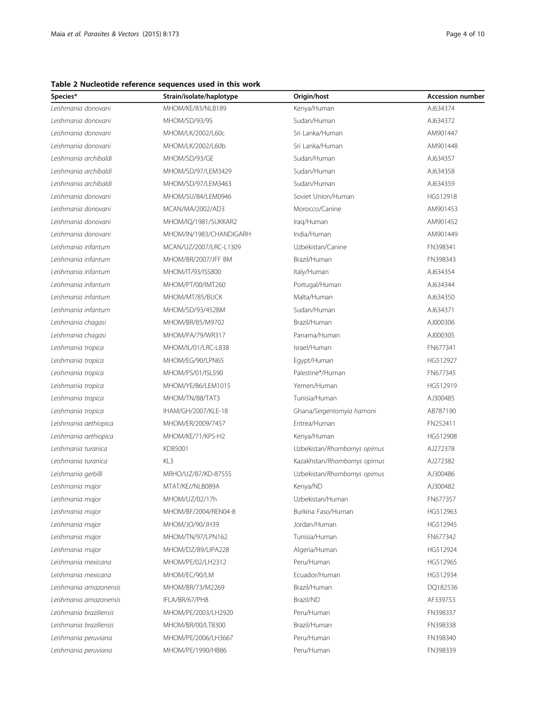<span id="page-3-0"></span>Table 2 Nucleotide reference sequences used in this work

| Species*                | Strain/isolate/haplotype | Origin/host                 | <b>Accession number</b> |
|-------------------------|--------------------------|-----------------------------|-------------------------|
| Leishmania donovani     | MHOM/KE/83/NLB189        | Kenya/Human                 | AJ634374                |
| Leishmania donovani     | MHOM/SD/93/9S            | Sudan/Human                 | AJ634372                |
| Leishmania donovani     | MHOM/LK/2002/L60c        | Sri Lanka/Human             | AM901447                |
| Leishmania donovani     | MHOM/LK/2002/L60b        | Sri Lanka/Human             | AM901448                |
| Leishmania archibaldi   | MHOM/SD/93/GE            | Sudan/Human                 | AJ634357                |
| Leishmania archibaldi   | MHOM/SD/97/LEM3429       | Sudan/Human                 | AJ634358                |
| Leishmania archibaldi   | MHOM/SD/97/LEM3463       | Sudan/Human                 | AJ634359                |
| Leishmania donovani     | MHOM/SU/84/LEM0946       | Soviet Union/Human          | HG512918                |
| Leishmania donovani     | MCAN/MA/2002/AD3         | Morocco/Canine              | AM901453                |
| Leishmania donovani     | MHOM/IQ/1981/SUKKAR2     | Iraq/Human                  | AM901452                |
| Leishmania donovani     | MHOM/IN/1983/CHANDIGARH  | India/Human                 | AM901449                |
| Leishmania infantum     | MCAN/UZ/2007/LRC-L1309   | Uzbekistan/Canine           | FN398341                |
| Leishmania infantum     | MHOM/BR/2007/JFF BM      | Brazil/Human                | FN398343                |
| Leishmania infantum     | MHOM/IT/93/ISS800        | Italy/Human                 | AJ634354                |
| Leishmania infantum     | MHOM/PT/00/IMT260        | Portugal/Human              | AJ634344                |
| Leishmania infantum     | MHOM/MT/85/BUCK          | Malta/Human                 | AJ634350                |
| Leishmania infantum     | MHOM/SD/93/452BM         | Sudan/Human                 | AJ634371                |
| Leishmania chagasi      | MHOM/BR/85/M9702         | Brazil/Human                | AJ000306                |
| Leishmania chagasi      | MHOM/PA/79/WR317         | Panama/Human                | AJ000305                |
| Leishmania tropica      | MHOM/IL/01/LRC-L838      | Israel/Human                | FN677341                |
| Leishmania tropica      | MHOM/EG/90/LPN65         | Egypt/Human                 | HG512927                |
| Leishmania tropica      | MHOM/PS/01/ISL590        | Palestine*/Human            | FN677345                |
| Leishmania tropica      | MHOM/YE/86/LEM1015       | Yemen/Human                 | HG512919                |
| Leishmania tropica      | MHOM/TN/88/TAT3          | Tunisia/Human               | AJ300485                |
| Leishmania tropica      | IHAM/GH/2007/KLE-18      | Ghana/Sergentomyia hamoni   | AB787190                |
| Leishmania aethiopica   | MHOM/ER/2009/7457        | Eritrea/Human               | FN252411                |
| Leishmania aethiopica   | MHOM/KE/71/KPS-H2        | Kenya/Human                 | HG512908                |
| Leishmania turanica     | KD85001                  | Uzbekistan/Rhombomys opimus | AJ272378                |
| Leishmania turanica     | KL3                      | Kazakhstan/Rhombomys opimus | AJ272382                |
| Leishmania gerbilli     | MRHO/UZ/87/KD-87555      | Uzbekistan/Rhombomys opimus | AJ300486                |
| Leishmania major        | MTAT/KE//NLB089A         | Kenya/ND                    | AJ300482                |
| Leishmania major        | MHOM/UZ/02/17h           | Uzbekistan/Human            | FN677357                |
| Leishmania major        | MHOM/BF/2004/REN04-8     | Burkina Faso/Human          | HG512963                |
| Leishmania major        | MHOM/JO/90/JH39          | Jordan/Human                | HG512945                |
| Leishmania major        | MHOM/TN/97/LPN162        | Tunisia/Human               | FN677342                |
| Leishmania major        | MHOM/DZ/89/LIPA228       | Algeria/Human               | HG512924                |
| Leishmania mexicana     | MHOM/PE/02/LH2312        | Peru/Human                  | HG512965                |
| Leishmania mexicana     | MHOM/EC/90/LM            | Ecuador/Human               | HG512934                |
| Leishmania amazonensis  | MHOM/BR/73/M2269         | Brazil/Human                | DQ182536                |
| Leishmania amazonensis  | IFLA/BR/67/PH8           | Brazil/ND                   | AF339753                |
| Leishmania braziliensis | MHOM/PE/2003/LH2920      | Peru/Human                  | FN398337                |
| Leishmania braziliensis | MHOM/BR/00/LTB300        | Brazil/Human                | FN398338                |
| Leishmania peruviana    | MHOM/PE/2006/LH3667      | Peru/Human                  | FN398340                |
| Leishmania peruviana    | MHOM/PE/1990/HB86        | Peru/Human                  | FN398339                |
|                         |                          |                             |                         |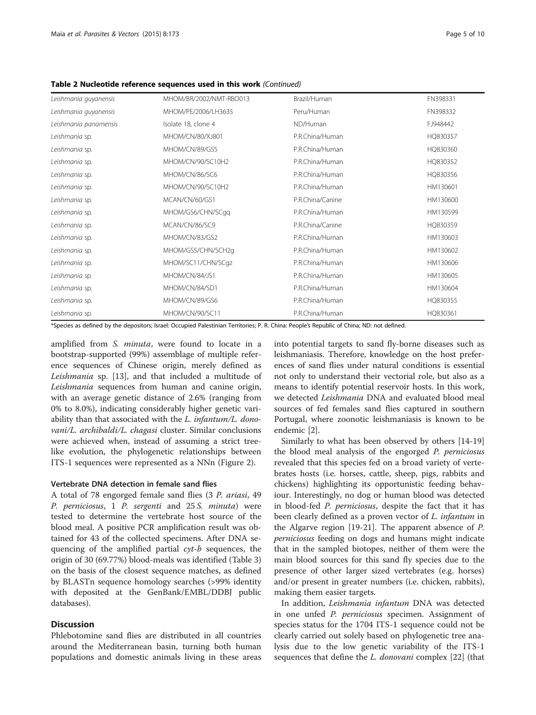| Leishmania guyanensis | MHOM/BR/2002/NMT-RBO013 | Brazil/Human     | FN398331 |
|-----------------------|-------------------------|------------------|----------|
| Leishmania guyanensis | MHOM/PE/2006/LH3635     | Peru/Human       | FN398332 |
| Leishmania panamensis | Isolate 18, clone 4     | ND/Human         | FJ948442 |
| Leishmania sp.        | MHOM/CN/80/XJ801        | P.R.China/Human  | HQ830357 |
| Leishmania sp.        | MHOM/CN/89/GS5          | P.R.China/Human  | HQ830360 |
| Leishmania sp.        | MHOM/CN/90/SC10H2       | P.R.China/Human  | HQ830352 |
| Leishmania sp.        | MHOM/CN/86/SC6          | P.R.China/Human  | HQ830356 |
| Leishmania sp.        | MHOM/CN/90/SC10H2       | P.R.China/Human  | HM130601 |
| Leishmania sp.        | MCAN/CN/60/GS1          | P.R.China/Canine | HM130600 |
| Leishmania sp.        | MHOM/GS6/CHN/SCgg       | P.R.China/Human  | HM130599 |
| Leishmania sp.        | MCAN/CN/86/SC9          | P.R.China/Canine | HQ830359 |
| Leishmania sp.        | MHOM/CN/83/GS2          | P.R.China/Human  | HM130603 |
| Leishmania sp.        | MHOM/GS5/CHN/SCH2q      | P.R.China/Human  | HM130602 |
| Leishmania sp.        | MHOM/SC11/CHN/SCqz      | P.R.China/Human  | HM130606 |
| Leishmania sp.        | MHOM/CN/84/JS1          | P.R.China/Human  | HM130605 |
| Leishmania sp.        | MHOM/CN/84/SD1          | P.R.China/Human  | HM130604 |
| Leishmania sp.        | MHOM/CN/89/GS6          | P.R.China/Human  | HQ830355 |
| Leishmania sp.        | MHOM/CN/90/SC11         | P.R.China/Human  | HQ830361 |

Table 2 Nucleotide reference sequences used in this work (Continued)

\*Species as defined by the depositors; Israel: Occupied Palestinian Territories; P. R. China: People's Republic of China; ND: not defined.

amplified from S. minuta, were found to locate in a bootstrap-supported (99%) assemblage of multiple reference sequences of Chinese origin, merely defined as Leishmania sp. [[13\]](#page-9-0), and that included a multitude of Leishmania sequences from human and canine origin, with an average genetic distance of 2.6% (ranging from 0% to 8.0%), indicating considerably higher genetic variability than that associated with the L. infantum/L. donovani/L. archibaldi/L. chagasi cluster. Similar conclusions were achieved when, instead of assuming a strict treelike evolution, the phylogenetic relationships between ITS-1 sequences were represented as a NNn (Figure [2\)](#page-6-0).

#### Vertebrate DNA detection in female sand flies

A total of 78 engorged female sand flies (3 P. ariasi, 49 P. perniciosus, 1 P. sergenti and 25 S. minuta) were tested to determine the vertebrate host source of the blood meal. A positive PCR amplification result was obtained for 43 of the collected specimens. After DNA sequencing of the amplified partial cyt-b sequences, the origin of 30 (69.77%) blood-meals was identified (Table [3](#page-7-0)) on the basis of the closest sequence matches, as defined by BLASTn sequence homology searches (>99% identity with deposited at the GenBank/EMBL/DDBJ public databases).

# **Discussion**

Phlebotomine sand flies are distributed in all countries around the Mediterranean basin, turning both human populations and domestic animals living in these areas into potential targets to sand fly-borne diseases such as leishmaniasis. Therefore, knowledge on the host preferences of sand flies under natural conditions is essential not only to understand their vectorial role, but also as a means to identify potential reservoir hosts. In this work, we detected Leishmania DNA and evaluated blood meal sources of fed females sand flies captured in southern Portugal, where zoonotic leishmaniasis is known to be endemic [\[2](#page-9-0)].

Similarly to what has been observed by others [\[14](#page-9-0)-[19](#page-9-0)] the blood meal analysis of the engorged P. perniciosus revealed that this species fed on a broad variety of vertebrates hosts (i.e. horses, cattle, sheep, pigs, rabbits and chickens) highlighting its opportunistic feeding behaviour. Interestingly, no dog or human blood was detected in blood-fed P. perniciosus, despite the fact that it has been clearly defined as a proven vector of *L. infantum* in the Algarve region [\[19](#page-9-0)-[21](#page-9-0)]. The apparent absence of P. perniciosus feeding on dogs and humans might indicate that in the sampled biotopes, neither of them were the main blood sources for this sand fly species due to the presence of other larger sized vertebrates (e.g. horses) and/or present in greater numbers (i.e. chicken, rabbits), making them easier targets.

In addition, Leishmania infantum DNA was detected in one unfed P. perniciosus specimen. Assignment of species status for the 1704 ITS-1 sequence could not be clearly carried out solely based on phylogenetic tree analysis due to the low genetic variability of the ITS-1 sequences that define the L. donovani complex [\[22](#page-9-0)] (that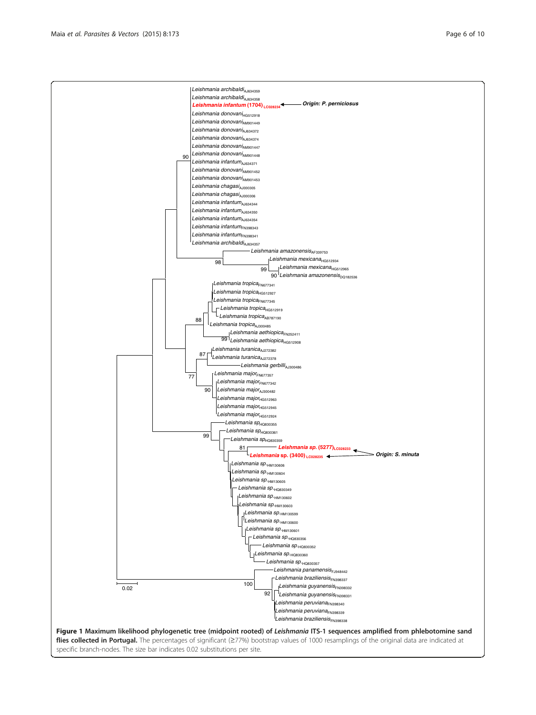<span id="page-5-0"></span>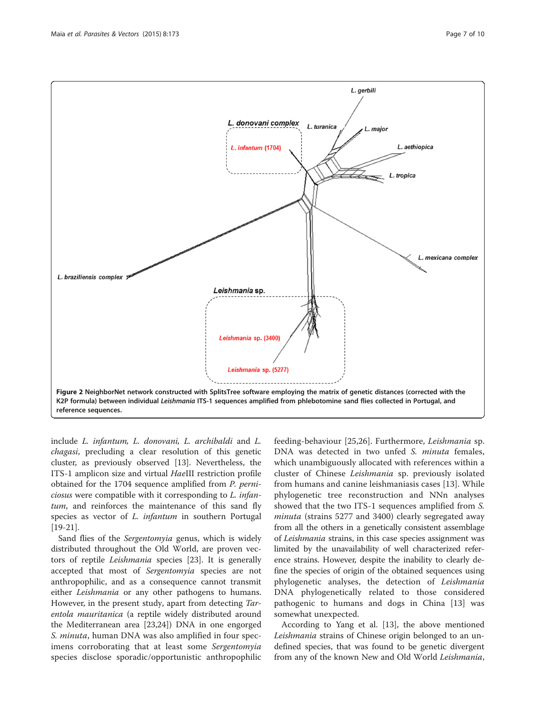<span id="page-6-0"></span>

include L. infantum, L. donovani, L. archibaldi and L. chagasi, precluding a clear resolution of this genetic cluster, as previously observed [\[13\]](#page-9-0). Nevertheless, the ITS-1 amplicon size and virtual HaeIII restriction profile obtained for the 1704 sequence amplified from P. perniciosus were compatible with it corresponding to L. infantum, and reinforces the maintenance of this sand fly species as vector of *L. infantum* in southern Portugal [[19-21](#page-9-0)].

Sand flies of the Sergentomyia genus, which is widely distributed throughout the Old World, are proven vectors of reptile Leishmania species [[23\]](#page-9-0). It is generally accepted that most of Sergentomyia species are not anthropophilic, and as a consequence cannot transmit either *Leishmania* or any other pathogens to humans. However, in the present study, apart from detecting Tarentola mauritanica (a reptile widely distributed around the Mediterranean area [[23,24\]](#page-9-0)) DNA in one engorged S. *minuta*, human DNA was also amplified in four specimens corroborating that at least some Sergentomyia species disclose sporadic/opportunistic anthropophilic

feeding-behaviour [\[25,26](#page-9-0)]. Furthermore, Leishmania sp. DNA was detected in two unfed S. minuta females, which unambiguously allocated with references within a cluster of Chinese Leishmania sp. previously isolated from humans and canine leishmaniasis cases [\[13](#page-9-0)]. While phylogenetic tree reconstruction and NNn analyses showed that the two ITS-1 sequences amplified from S. minuta (strains 5277 and 3400) clearly segregated away from all the others in a genetically consistent assemblage of Leishmania strains, in this case species assignment was limited by the unavailability of well characterized reference strains. However, despite the inability to clearly define the species of origin of the obtained sequences using phylogenetic analyses, the detection of Leishmania DNA phylogenetically related to those considered pathogenic to humans and dogs in China [[13](#page-9-0)] was somewhat unexpected.

According to Yang et al. [\[13\]](#page-9-0), the above mentioned Leishmania strains of Chinese origin belonged to an undefined species, that was found to be genetic divergent from any of the known New and Old World Leishmania,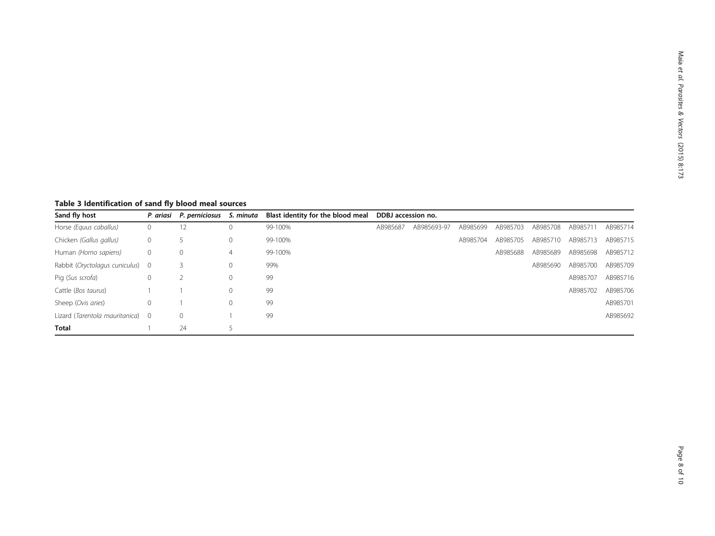<span id="page-7-0"></span>Table 3 Identification of sand fly blood meal sources

| Sand fly host                    |              | P. ariasi P. perniciosus | S. minuta   | Blast identity for the blood meal | DDBJ accession no. |             |          |          |          |          |          |
|----------------------------------|--------------|--------------------------|-------------|-----------------------------------|--------------------|-------------|----------|----------|----------|----------|----------|
| Horse (Equus caballus)           | $\mathbf{0}$ | 12                       | $\Omega$    | 99-100%                           | AB985687           | AB985693-97 | AB985699 | AB985703 | AB985708 | AB985711 | AB985714 |
| Chicken (Gallus gallus)          | 0            |                          |             | 99-100%                           |                    |             | AB985704 | AB985705 | AB985710 | AB985713 | AB985715 |
| Human (Homo sapiens)             | $\circ$      | $\circ$                  | 4           | 99-100%                           |                    |             |          | AB985688 | AB985689 | AB985698 | AB985712 |
| Rabbit (Oryctolagus cuniculus) 0 |              |                          | 0           | 99%                               |                    |             |          |          | AB985690 | AB985700 | AB985709 |
| Pig (Sus scrofa)                 | 0            |                          | $\circ$     | 99                                |                    |             |          |          |          | AB985707 | AB985716 |
| Cattle (Bos taurus)              |              |                          | $\mathbf 0$ | 99                                |                    |             |          |          |          | AB985702 | AB985706 |
| Sheep (Ovis aries)               | 0            |                          |             | 99                                |                    |             |          |          |          |          | AB985701 |
| Lizard (Tarentola mauritanica) 0 |              | $\mathbf{0}$             |             | 99                                |                    |             |          |          |          |          | AB985692 |
| <b>Total</b>                     |              | 24                       |             |                                   |                    |             |          |          |          |          |          |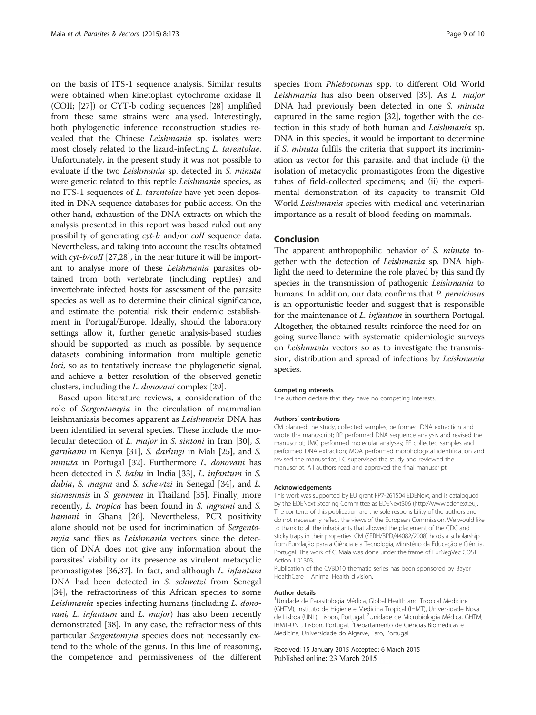on the basis of ITS-1 sequence analysis. Similar results were obtained when kinetoplast cytochrome oxidase II (COII; [\[27\]](#page-9-0)) or CYT-b coding sequences [\[28](#page-9-0)] amplified from these same strains were analysed. Interestingly, both phylogenetic inference reconstruction studies revealed that the Chinese Leishmania sp. isolates were most closely related to the lizard-infecting L. tarentolae. Unfortunately, in the present study it was not possible to evaluate if the two Leishmania sp. detected in S. minuta were genetic related to this reptile Leishmania species, as no ITS-1 sequences of L. tarentolae have yet been deposited in DNA sequence databases for public access. On the other hand, exhaustion of the DNA extracts on which the analysis presented in this report was based ruled out any possibility of generating cyt-b and/or coII sequence data. Nevertheless, and taking into account the results obtained with *cyt-b/coII* [\[27,28\]](#page-9-0), in the near future it will be important to analyse more of these Leishmania parasites obtained from both vertebrate (including reptiles) and invertebrate infected hosts for assessment of the parasite species as well as to determine their clinical significance, and estimate the potential risk their endemic establishment in Portugal/Europe. Ideally, should the laboratory settings allow it, further genetic analysis-based studies should be supported, as much as possible, by sequence datasets combining information from multiple genetic loci, so as to tentatively increase the phylogenetic signal, and achieve a better resolution of the observed genetic clusters, including the L. donovani complex [\[29\]](#page-9-0).

Based upon literature reviews, a consideration of the role of Sergentomyia in the circulation of mammalian leishmaniasis becomes apparent as Leishmania DNA has been identified in several species. These include the molecular detection of *L. major* in *S. sintoni* in Iran [\[30\]](#page-9-0), *S.* garnhami in Kenya [[31](#page-9-0)], S. darlingi in Mali [\[25\]](#page-9-0), and S. minuta in Portugal [\[32](#page-9-0)]. Furthermore L. donovani has been detected in S. babu in India [[33\]](#page-9-0), L. infantum in S. dubia, S. magna and S. schewtzi in Senegal [\[34](#page-9-0)], and L. siamennsis in S. gemmea in Thailand [[35\]](#page-9-0). Finally, more recently, L. tropica has been found in S. ingrami and S. hamoni in Ghana [[26\]](#page-9-0). Nevertheless, PCR positivity alone should not be used for incrimination of Sergentomyia sand flies as Leishmania vectors since the detection of DNA does not give any information about the parasites' viability or its presence as virulent metacyclic promastigotes [[36,37](#page-9-0)]. In fact, and although L. infantum DNA had been detected in S. schwetzi from Senegal [[34\]](#page-9-0), the refractoriness of this African species to some Leishmania species infecting humans (including L. donovani, L. infantum and L. major) has also been recently demonstrated [\[38](#page-9-0)]. In any case, the refractoriness of this particular Sergentomyia species does not necessarily extend to the whole of the genus. In this line of reasoning, the competence and permissiveness of the different species from Phlebotomus spp. to different Old World Leishmania has also been observed [[39\]](#page-9-0). As L. major DNA had previously been detected in one S. minuta captured in the same region [\[32](#page-9-0)], together with the detection in this study of both human and Leishmania sp. DNA in this species, it would be important to determine if S. minuta fulfils the criteria that support its incrimination as vector for this parasite, and that include (i) the isolation of metacyclic promastigotes from the digestive tubes of field-collected specimens; and (ii) the experimental demonstration of its capacity to transmit Old World Leishmania species with medical and veterinarian importance as a result of blood-feeding on mammals.

# Conclusion

The apparent anthropophilic behavior of S. minuta together with the detection of Leishmania sp. DNA highlight the need to determine the role played by this sand fly species in the transmission of pathogenic Leishmania to humans. In addition, our data confirms that P. perniciosus is an opportunistic feeder and suggest that is responsible for the maintenance of L. infantum in sourthern Portugal. Altogether, the obtained results reinforce the need for ongoing surveillance with systematic epidemiologic surveys on Leishmania vectors so as to investigate the transmission, distribution and spread of infections by Leishmania species.

#### Competing interests

The authors declare that they have no competing interests.

#### Authors' contributions

CM planned the study, collected samples, performed DNA extraction and wrote the manuscript; RP performed DNA sequence analysis and revised the manuscript; JMC performed molecular analyses; FF collected samples and performed DNA extraction; MOA performed morphological identification and revised the manuscript; LC supervised the study and reviewed the manuscript. All authors read and approved the final manuscript.

#### Acknowledgements

This work was supported by EU grant FP7-261504 EDENext, and is catalogued by the EDENext Steering Committee as EDENext306 (<http://www.edenext.eu>). The contents of this publication are the sole responsibility of the authors and do not necessarily reflect the views of the European Commission. We would like to thank to all the inhabitants that allowed the placement of the CDC and sticky traps in their properties. CM (SFRH/BPD/44082/2008) holds a scholarship from Fundação para a Ciência e a Tecnologia, Ministério da Educação e Ciência, Portugal. The work of C. Maia was done under the frame of EurNegVec COST Action TD1303.

Publication of the CVBD10 thematic series has been sponsored by Bayer HealthCare – Animal Health division.

#### Author details

<sup>1</sup>Unidade de Parasitologia Médica, Global Health and Tropical Medicine (GHTM), Instituto de Higiene e Medicina Tropical (IHMT), Universidade Nova de Lisboa (UNL), Lisbon, Portugal. <sup>2</sup>Unidade de Microbiologia Médica, GHTM, IHMT-UNL, Lisbon, Portugal. <sup>3</sup>Departamento de Ciências Biomédicas e Medicina, Universidade do Algarve, Faro, Portugal.

Received: 15 January 2015 Accepted: 6 March 2015 Published online: 23 March 2015